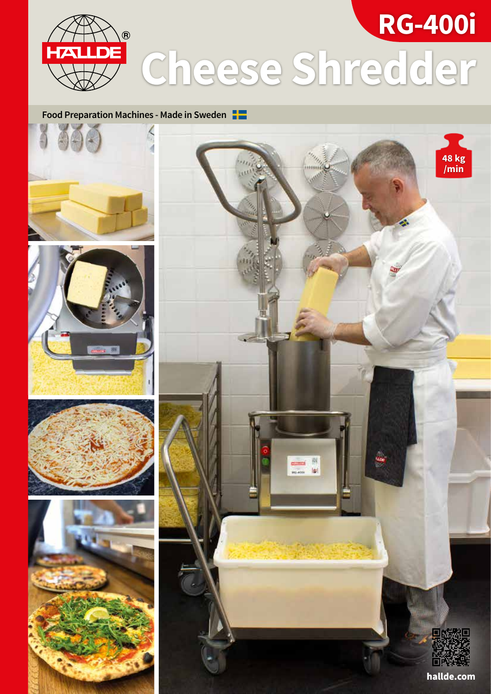

# **Food Preparation Machines - Made in Sweden**